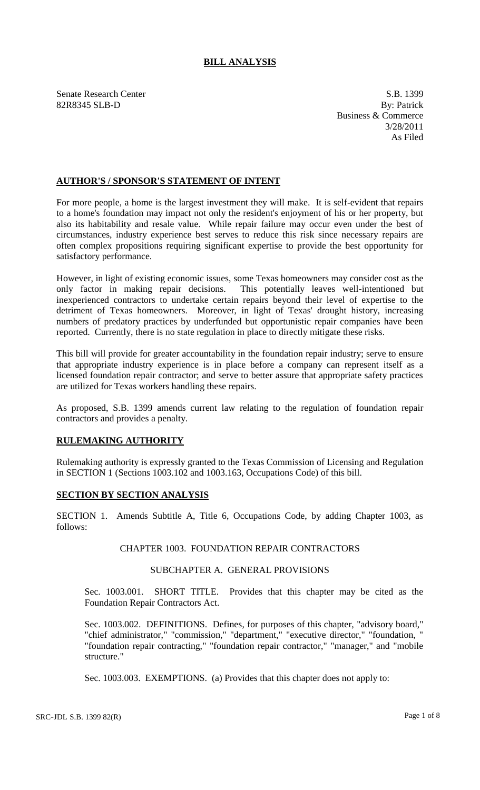# **BILL ANALYSIS**

Senate Research Center S.B. 1399 82R8345 SLB-D By: Patrick

Business & Commerce 3/28/2011 As Filed

## **AUTHOR'S / SPONSOR'S STATEMENT OF INTENT**

For more people, a home is the largest investment they will make. It is self-evident that repairs to a home's foundation may impact not only the resident's enjoyment of his or her property, but also its habitability and resale value. While repair failure may occur even under the best of circumstances, industry experience best serves to reduce this risk since necessary repairs are often complex propositions requiring significant expertise to provide the best opportunity for satisfactory performance.

However, in light of existing economic issues, some Texas homeowners may consider cost as the only factor in making repair decisions. This potentially leaves well-intentioned but inexperienced contractors to undertake certain repairs beyond their level of expertise to the detriment of Texas homeowners. Moreover, in light of Texas' drought history, increasing numbers of predatory practices by underfunded but opportunistic repair companies have been reported. Currently, there is no state regulation in place to directly mitigate these risks.

This bill will provide for greater accountability in the foundation repair industry; serve to ensure that appropriate industry experience is in place before a company can represent itself as a licensed foundation repair contractor; and serve to better assure that appropriate safety practices are utilized for Texas workers handling these repairs.

As proposed, S.B. 1399 amends current law relating to the regulation of foundation repair contractors and provides a penalty.

## **RULEMAKING AUTHORITY**

Rulemaking authority is expressly granted to the Texas Commission of Licensing and Regulation in SECTION 1 (Sections 1003.102 and 1003.163, Occupations Code) of this bill.

## **SECTION BY SECTION ANALYSIS**

SECTION 1. Amends Subtitle A, Title 6, Occupations Code, by adding Chapter 1003, as follows:

# CHAPTER 1003. FOUNDATION REPAIR CONTRACTORS

#### SUBCHAPTER A. GENERAL PROVISIONS

Sec. 1003.001. SHORT TITLE. Provides that this chapter may be cited as the Foundation Repair Contractors Act.

Sec. 1003.002. DEFINITIONS. Defines, for purposes of this chapter, "advisory board," "chief administrator," "commission," "department," "executive director," "foundation, " "foundation repair contracting," "foundation repair contractor," "manager," and "mobile structure."

Sec. 1003.003. EXEMPTIONS. (a) Provides that this chapter does not apply to: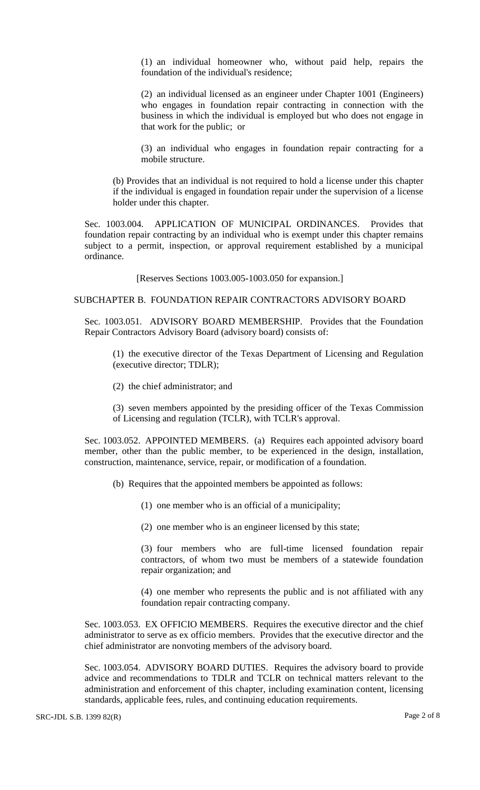(1) an individual homeowner who, without paid help, repairs the foundation of the individual's residence;

(2) an individual licensed as an engineer under Chapter 1001 (Engineers) who engages in foundation repair contracting in connection with the business in which the individual is employed but who does not engage in that work for the public; or

(3) an individual who engages in foundation repair contracting for a mobile structure.

(b) Provides that an individual is not required to hold a license under this chapter if the individual is engaged in foundation repair under the supervision of a license holder under this chapter.

Sec. 1003.004. APPLICATION OF MUNICIPAL ORDINANCES. Provides that foundation repair contracting by an individual who is exempt under this chapter remains subject to a permit, inspection, or approval requirement established by a municipal ordinance.

[Reserves Sections 1003.005-1003.050 for expansion.]

### SUBCHAPTER B. FOUNDATION REPAIR CONTRACTORS ADVISORY BOARD

Sec. 1003.051. ADVISORY BOARD MEMBERSHIP. Provides that the Foundation Repair Contractors Advisory Board (advisory board) consists of:

(1) the executive director of the Texas Department of Licensing and Regulation (executive director; TDLR);

(2) the chief administrator; and

(3) seven members appointed by the presiding officer of the Texas Commission of Licensing and regulation (TCLR), with TCLR's approval.

Sec. 1003.052. APPOINTED MEMBERS. (a) Requires each appointed advisory board member, other than the public member, to be experienced in the design, installation, construction, maintenance, service, repair, or modification of a foundation.

(b) Requires that the appointed members be appointed as follows:

- (1) one member who is an official of a municipality;
- (2) one member who is an engineer licensed by this state;

(3) four members who are full-time licensed foundation repair contractors, of whom two must be members of a statewide foundation repair organization; and

(4) one member who represents the public and is not affiliated with any foundation repair contracting company.

Sec. 1003.053. EX OFFICIO MEMBERS. Requires the executive director and the chief administrator to serve as ex officio members. Provides that the executive director and the chief administrator are nonvoting members of the advisory board.

Sec. 1003.054. ADVISORY BOARD DUTIES. Requires the advisory board to provide advice and recommendations to TDLR and TCLR on technical matters relevant to the administration and enforcement of this chapter, including examination content, licensing standards, applicable fees, rules, and continuing education requirements.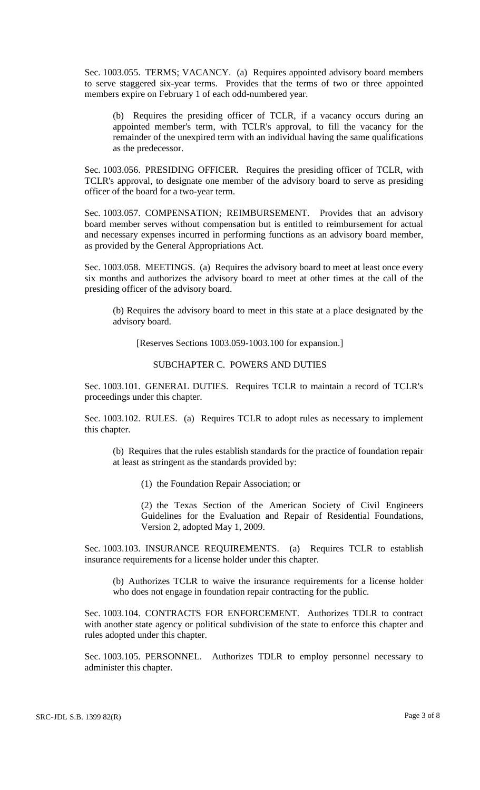Sec. 1003.055. TERMS; VACANCY. (a) Requires appointed advisory board members to serve staggered six-year terms. Provides that the terms of two or three appointed members expire on February 1 of each odd-numbered year.

(b) Requires the presiding officer of TCLR, if a vacancy occurs during an appointed member's term, with TCLR's approval, to fill the vacancy for the remainder of the unexpired term with an individual having the same qualifications as the predecessor.

Sec. 1003.056. PRESIDING OFFICER. Requires the presiding officer of TCLR, with TCLR's approval, to designate one member of the advisory board to serve as presiding officer of the board for a two-year term.

Sec. 1003.057. COMPENSATION; REIMBURSEMENT. Provides that an advisory board member serves without compensation but is entitled to reimbursement for actual and necessary expenses incurred in performing functions as an advisory board member, as provided by the General Appropriations Act.

Sec. 1003.058. MEETINGS. (a) Requires the advisory board to meet at least once every six months and authorizes the advisory board to meet at other times at the call of the presiding officer of the advisory board.

(b) Requires the advisory board to meet in this state at a place designated by the advisory board.

[Reserves Sections 1003.059-1003.100 for expansion.]

## SUBCHAPTER C. POWERS AND DUTIES

Sec. 1003.101. GENERAL DUTIES. Requires TCLR to maintain a record of TCLR's proceedings under this chapter.

Sec. 1003.102. RULES. (a) Requires TCLR to adopt rules as necessary to implement this chapter.

(b) Requires that the rules establish standards for the practice of foundation repair at least as stringent as the standards provided by:

(1) the Foundation Repair Association; or

(2) the Texas Section of the American Society of Civil Engineers Guidelines for the Evaluation and Repair of Residential Foundations, Version 2, adopted May 1, 2009.

Sec. 1003.103. INSURANCE REQUIREMENTS. (a) Requires TCLR to establish insurance requirements for a license holder under this chapter.

(b) Authorizes TCLR to waive the insurance requirements for a license holder who does not engage in foundation repair contracting for the public.

Sec. 1003.104. CONTRACTS FOR ENFORCEMENT. Authorizes TDLR to contract with another state agency or political subdivision of the state to enforce this chapter and rules adopted under this chapter.

Sec. 1003.105. PERSONNEL. Authorizes TDLR to employ personnel necessary to administer this chapter.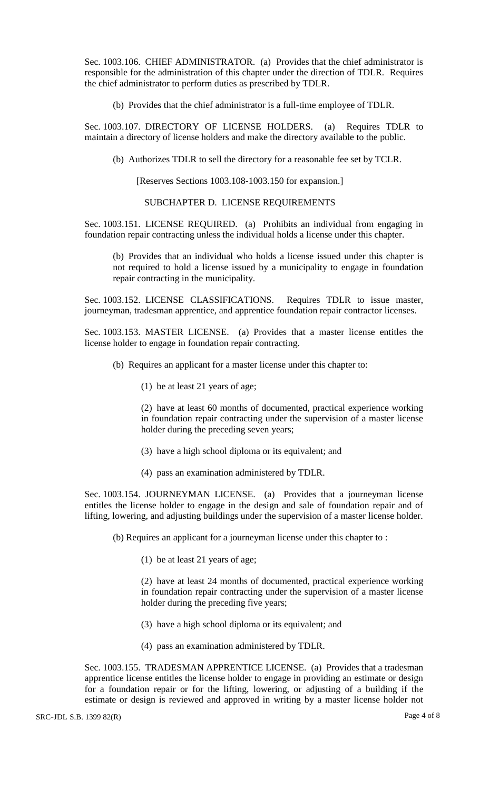Sec. 1003.106. CHIEF ADMINISTRATOR. (a) Provides that the chief administrator is responsible for the administration of this chapter under the direction of TDLR. Requires the chief administrator to perform duties as prescribed by TDLR.

(b) Provides that the chief administrator is a full-time employee of TDLR.

Sec. 1003.107. DIRECTORY OF LICENSE HOLDERS. (a) Requires TDLR to maintain a directory of license holders and make the directory available to the public.

(b) Authorizes TDLR to sell the directory for a reasonable fee set by TCLR.

[Reserves Sections 1003.108-1003.150 for expansion.]

SUBCHAPTER D. LICENSE REQUIREMENTS

Sec. 1003.151. LICENSE REQUIRED. (a) Prohibits an individual from engaging in foundation repair contracting unless the individual holds a license under this chapter.

(b) Provides that an individual who holds a license issued under this chapter is not required to hold a license issued by a municipality to engage in foundation repair contracting in the municipality.

Sec. 1003.152. LICENSE CLASSIFICATIONS. Requires TDLR to issue master, journeyman, tradesman apprentice, and apprentice foundation repair contractor licenses.

Sec. 1003.153. MASTER LICENSE. (a) Provides that a master license entitles the license holder to engage in foundation repair contracting.

- (b) Requires an applicant for a master license under this chapter to:
	- (1) be at least 21 years of age;

(2) have at least 60 months of documented, practical experience working in foundation repair contracting under the supervision of a master license holder during the preceding seven years;

- (3) have a high school diploma or its equivalent; and
- (4) pass an examination administered by TDLR.

Sec. 1003.154. JOURNEYMAN LICENSE. (a) Provides that a journeyman license entitles the license holder to engage in the design and sale of foundation repair and of lifting, lowering, and adjusting buildings under the supervision of a master license holder.

(b) Requires an applicant for a journeyman license under this chapter to :

(1) be at least 21 years of age;

(2) have at least 24 months of documented, practical experience working in foundation repair contracting under the supervision of a master license holder during the preceding five years;

- (3) have a high school diploma or its equivalent; and
- (4) pass an examination administered by TDLR.

Sec. 1003.155. TRADESMAN APPRENTICE LICENSE. (a) Provides that a tradesman apprentice license entitles the license holder to engage in providing an estimate or design for a foundation repair or for the lifting, lowering, or adjusting of a building if the estimate or design is reviewed and approved in writing by a master license holder not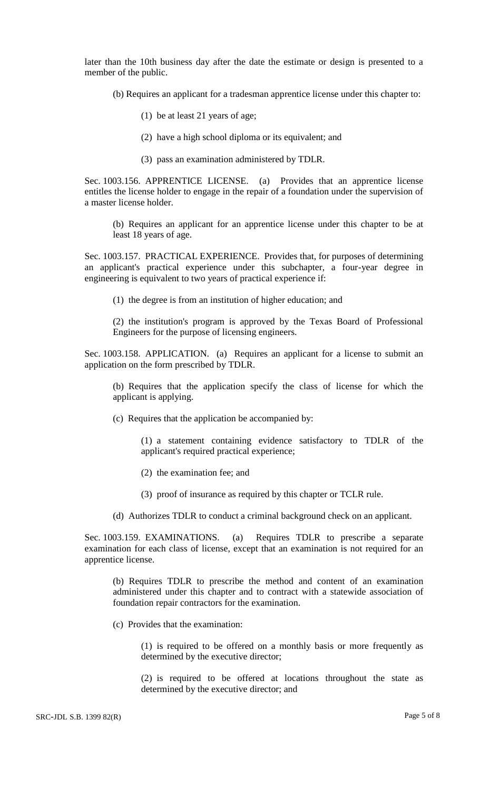later than the 10th business day after the date the estimate or design is presented to a member of the public.

- (b) Requires an applicant for a tradesman apprentice license under this chapter to:
	- (1) be at least 21 years of age;
	- (2) have a high school diploma or its equivalent; and
	- (3) pass an examination administered by TDLR.

Sec. 1003.156. APPRENTICE LICENSE. (a) Provides that an apprentice license entitles the license holder to engage in the repair of a foundation under the supervision of a master license holder.

(b) Requires an applicant for an apprentice license under this chapter to be at least 18 years of age.

Sec. 1003.157. PRACTICAL EXPERIENCE. Provides that, for purposes of determining an applicant's practical experience under this subchapter, a four-year degree in engineering is equivalent to two years of practical experience if:

(1) the degree is from an institution of higher education; and

(2) the institution's program is approved by the Texas Board of Professional Engineers for the purpose of licensing engineers.

Sec. 1003.158. APPLICATION. (a) Requires an applicant for a license to submit an application on the form prescribed by TDLR.

(b) Requires that the application specify the class of license for which the applicant is applying.

(c) Requires that the application be accompanied by:

(1) a statement containing evidence satisfactory to TDLR of the applicant's required practical experience;

(2) the examination fee; and

(3) proof of insurance as required by this chapter or TCLR rule.

(d) Authorizes TDLR to conduct a criminal background check on an applicant.

Sec. 1003.159. EXAMINATIONS. (a) Requires TDLR to prescribe a separate examination for each class of license, except that an examination is not required for an apprentice license.

(b) Requires TDLR to prescribe the method and content of an examination administered under this chapter and to contract with a statewide association of foundation repair contractors for the examination.

(c) Provides that the examination:

(1) is required to be offered on a monthly basis or more frequently as determined by the executive director;

(2) is required to be offered at locations throughout the state as determined by the executive director; and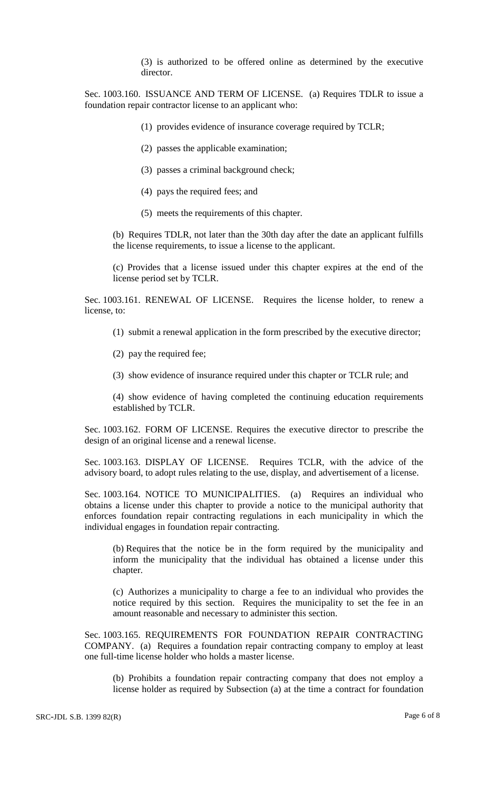(3) is authorized to be offered online as determined by the executive director.

Sec. 1003.160. ISSUANCE AND TERM OF LICENSE. (a) Requires TDLR to issue a foundation repair contractor license to an applicant who:

- (1) provides evidence of insurance coverage required by TCLR;
- (2) passes the applicable examination;
- (3) passes a criminal background check;
- (4) pays the required fees; and
- (5) meets the requirements of this chapter.

(b) Requires TDLR, not later than the 30th day after the date an applicant fulfills the license requirements, to issue a license to the applicant.

(c) Provides that a license issued under this chapter expires at the end of the license period set by TCLR.

Sec. 1003.161. RENEWAL OF LICENSE. Requires the license holder, to renew a license, to:

- (1) submit a renewal application in the form prescribed by the executive director;
- (2) pay the required fee;
- (3) show evidence of insurance required under this chapter or TCLR rule; and

(4) show evidence of having completed the continuing education requirements established by TCLR.

Sec. 1003.162. FORM OF LICENSE. Requires the executive director to prescribe the design of an original license and a renewal license.

Sec. 1003.163. DISPLAY OF LICENSE. Requires TCLR, with the advice of the advisory board, to adopt rules relating to the use, display, and advertisement of a license.

Sec. 1003.164. NOTICE TO MUNICIPALITIES. (a) Requires an individual who obtains a license under this chapter to provide a notice to the municipal authority that enforces foundation repair contracting regulations in each municipality in which the individual engages in foundation repair contracting.

(b) Requires that the notice be in the form required by the municipality and inform the municipality that the individual has obtained a license under this chapter.

(c) Authorizes a municipality to charge a fee to an individual who provides the notice required by this section. Requires the municipality to set the fee in an amount reasonable and necessary to administer this section.

Sec. 1003.165. REQUIREMENTS FOR FOUNDATION REPAIR CONTRACTING COMPANY. (a) Requires a foundation repair contracting company to employ at least one full-time license holder who holds a master license.

(b) Prohibits a foundation repair contracting company that does not employ a license holder as required by Subsection (a) at the time a contract for foundation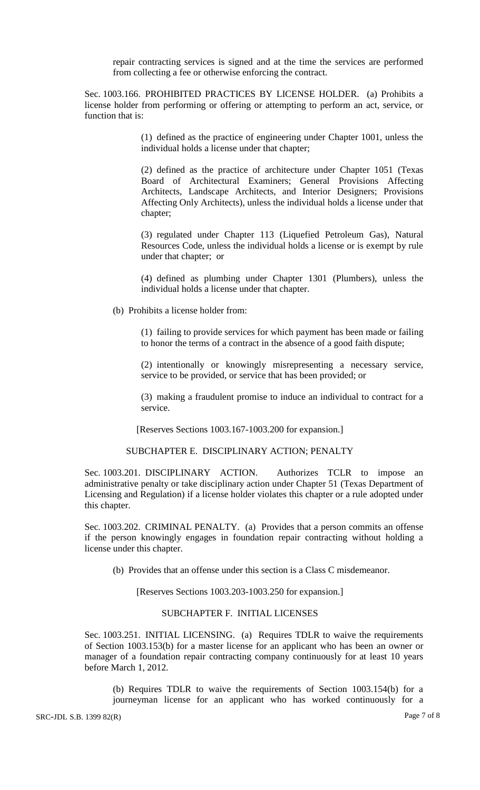repair contracting services is signed and at the time the services are performed from collecting a fee or otherwise enforcing the contract.

Sec. 1003.166. PROHIBITED PRACTICES BY LICENSE HOLDER. (a) Prohibits a license holder from performing or offering or attempting to perform an act, service, or function that is:

> (1) defined as the practice of engineering under Chapter 1001, unless the individual holds a license under that chapter;

> (2) defined as the practice of architecture under Chapter 1051 (Texas Board of Architectural Examiners; General Provisions Affecting Architects, Landscape Architects, and Interior Designers; Provisions Affecting Only Architects), unless the individual holds a license under that chapter;

> (3) regulated under Chapter 113 (Liquefied Petroleum Gas), Natural Resources Code, unless the individual holds a license or is exempt by rule under that chapter; or

> (4) defined as plumbing under Chapter 1301 (Plumbers), unless the individual holds a license under that chapter.

(b) Prohibits a license holder from:

(1) failing to provide services for which payment has been made or failing to honor the terms of a contract in the absence of a good faith dispute;

(2) intentionally or knowingly misrepresenting a necessary service, service to be provided, or service that has been provided; or

(3) making a fraudulent promise to induce an individual to contract for a service.

[Reserves Sections 1003.167-1003.200 for expansion.]

# SUBCHAPTER E. DISCIPLINARY ACTION; PENALTY

Sec. 1003.201. DISCIPLINARY ACTION. Authorizes TCLR to impose an administrative penalty or take disciplinary action under Chapter 51 (Texas Department of Licensing and Regulation) if a license holder violates this chapter or a rule adopted under this chapter.

Sec. 1003.202. CRIMINAL PENALTY. (a) Provides that a person commits an offense if the person knowingly engages in foundation repair contracting without holding a license under this chapter.

(b) Provides that an offense under this section is a Class C misdemeanor.

[Reserves Sections 1003.203-1003.250 for expansion.]

## SUBCHAPTER F. INITIAL LICENSES

Sec. 1003.251. INITIAL LICENSING. (a) Requires TDLR to waive the requirements of Section 1003.153(b) for a master license for an applicant who has been an owner or manager of a foundation repair contracting company continuously for at least 10 years before March 1, 2012.

(b) Requires TDLR to waive the requirements of Section 1003.154(b) for a journeyman license for an applicant who has worked continuously for a